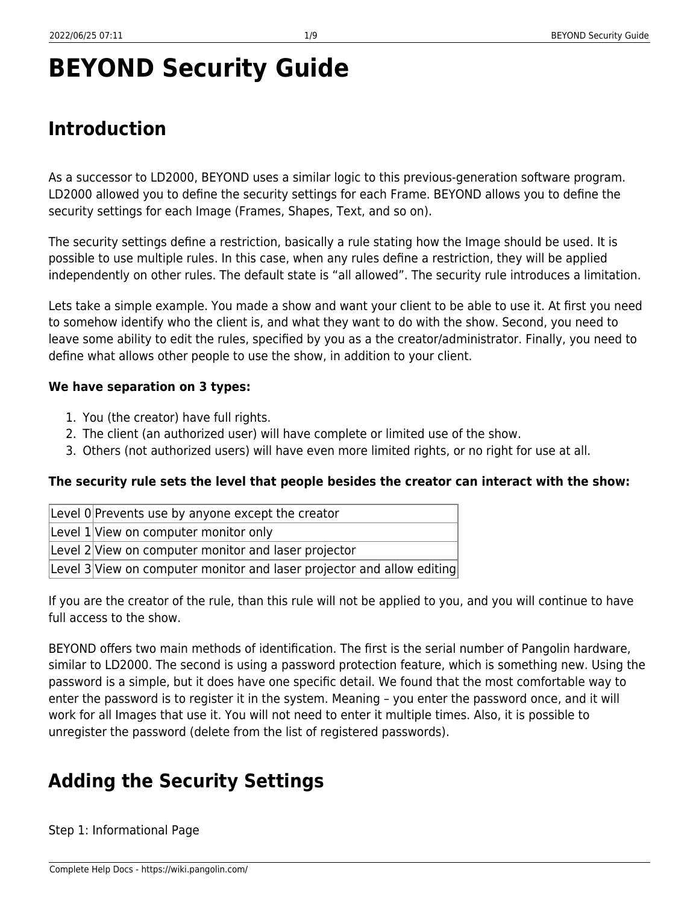# **BEYOND Security Guide**

# **Introduction**

As a successor to LD2000, BEYOND uses a similar logic to this previous-generation software program. LD2000 allowed you to define the security settings for each Frame. BEYOND allows you to define the security settings for each Image (Frames, Shapes, Text, and so on).

The security settings define a restriction, basically a rule stating how the Image should be used. It is possible to use multiple rules. In this case, when any rules define a restriction, they will be applied independently on other rules. The default state is "all allowed". The security rule introduces a limitation.

Lets take a simple example. You made a show and want your client to be able to use it. At first you need to somehow identify who the client is, and what they want to do with the show. Second, you need to leave some ability to edit the rules, specified by you as a the creator/administrator. Finally, you need to define what allows other people to use the show, in addition to your client.

#### **We have separation on 3 types:**

- 1. You (the creator) have full rights.
- 2. The client (an authorized user) will have complete or limited use of the show.
- 3. Others (not authorized users) will have even more limited rights, or no right for use at all.

### **The security rule sets the level that people besides the creator can interact with the show:**

| Level 0 Prevents use by anyone except the creator                      |
|------------------------------------------------------------------------|
| Level 1 View on computer monitor only                                  |
| Level 2 View on computer monitor and laser projector                   |
| Level 3 View on computer monitor and laser projector and allow editing |

If you are the creator of the rule, than this rule will not be applied to you, and you will continue to have full access to the show.

BEYOND offers two main methods of identification. The first is the serial number of Pangolin hardware, similar to LD2000. The second is using a password protection feature, which is something new. Using the password is a simple, but it does have one specific detail. We found that the most comfortable way to enter the password is to register it in the system. Meaning – you enter the password once, and it will work for all Images that use it. You will not need to enter it multiple times. Also, it is possible to unregister the password (delete from the list of registered passwords).

# **Adding the Security Settings**

Step 1: Informational Page

Complete Help Docs - https://wiki.pangolin.com/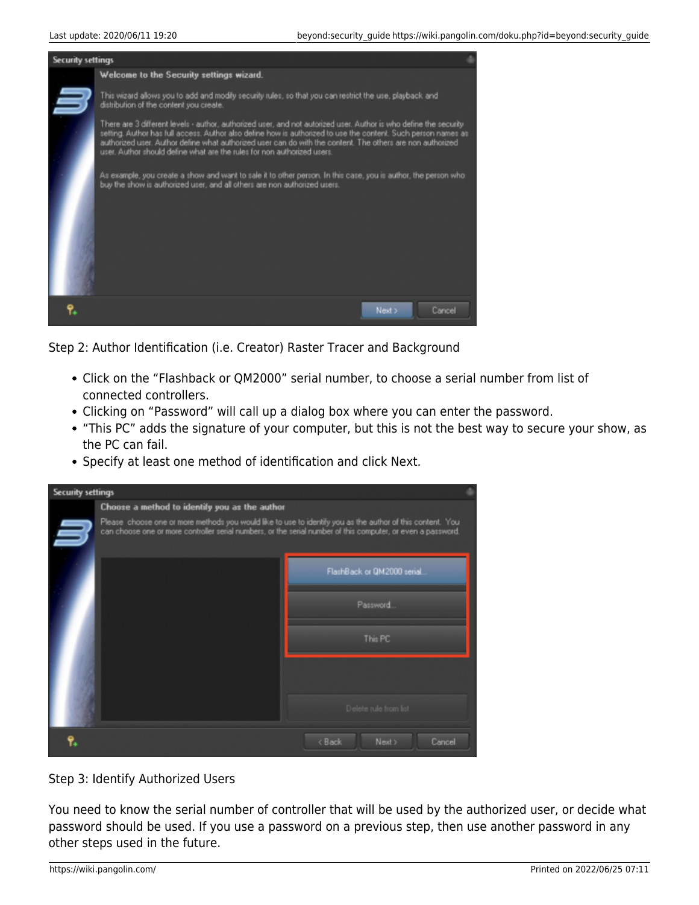

Step 2: Author Identification (i.e. Creator) Raster Tracer and Background

- Click on the "Flashback or QM2000" serial number, to choose a serial number from list of connected controllers.
- Clicking on "Password" will call up a dialog box where you can enter the password.
- "This PC" adds the signature of your computer, but this is not the best way to secure your show, as the PC can fail.
- Specify at least one method of identification and click Next.

| <b>Security settings</b> |                                                                                                                                                                                                                            |                                         |
|--------------------------|----------------------------------------------------------------------------------------------------------------------------------------------------------------------------------------------------------------------------|-----------------------------------------|
|                          | Choose a method to identify you as the author                                                                                                                                                                              |                                         |
|                          | Please choose one or more methods you would like to use to identify you as the author of this content. You<br>can choose one or more controller serial numbers, or the serial number of this computer, or even a password. |                                         |
|                          |                                                                                                                                                                                                                            | FlashBack or QM2000 serial.             |
|                          |                                                                                                                                                                                                                            | Password.                               |
|                          |                                                                                                                                                                                                                            | This PC                                 |
|                          |                                                                                                                                                                                                                            |                                         |
|                          |                                                                                                                                                                                                                            | Delete rule from list                   |
|                          |                                                                                                                                                                                                                            | <back<br>Next &gt;<br/>Cancel</back<br> |

#### Step 3: Identify Authorized Users

You need to know the serial number of controller that will be used by the authorized user, or decide what password should be used. If you use a password on a previous step, then use another password in any other steps used in the future.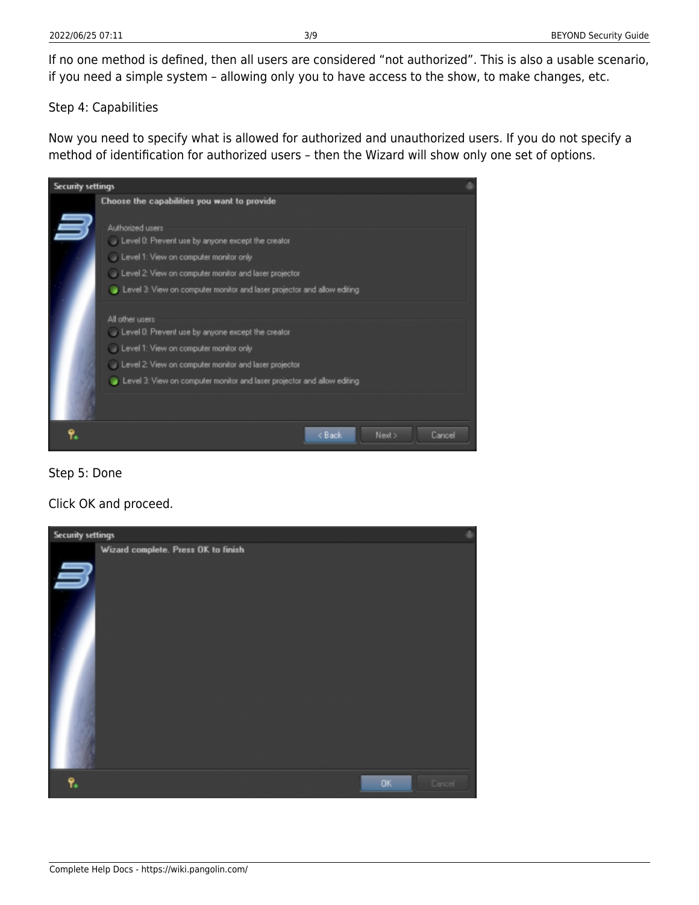If no one method is defined, then all users are considered "not authorized". This is also a usable scenario, if you need a simple system – allowing only you to have access to the show, to make changes, etc.

Step 4: Capabilities

Now you need to specify what is allowed for authorized and unauthorized users. If you do not specify a method of identification for authorized users – then the Wizard will show only one set of options.

| Choose the capabilities you want to provide<br>Authorized users<br>Level 0: Prevent use by anyone except the creator<br>Level 1: View on computer monitor only<br>Level 2: View on computer monitor and laser projector                            | <b>Security settings</b> |                                                                         |  |
|----------------------------------------------------------------------------------------------------------------------------------------------------------------------------------------------------------------------------------------------------|--------------------------|-------------------------------------------------------------------------|--|
|                                                                                                                                                                                                                                                    |                          |                                                                         |  |
|                                                                                                                                                                                                                                                    |                          | Level 3: View on computer monitor and laser projector and allow editing |  |
| All other users<br>Level 0: Prevent use by anyone except the creator<br>Level 1: View on computer monitor only<br>Level 2: View on computer monitor and laser projector<br>Level 3: View on computer monitor and laser projector and allow editing |                          |                                                                         |  |
| < Back<br>Next ><br>Cancel                                                                                                                                                                                                                         |                          |                                                                         |  |



Click OK and proceed.

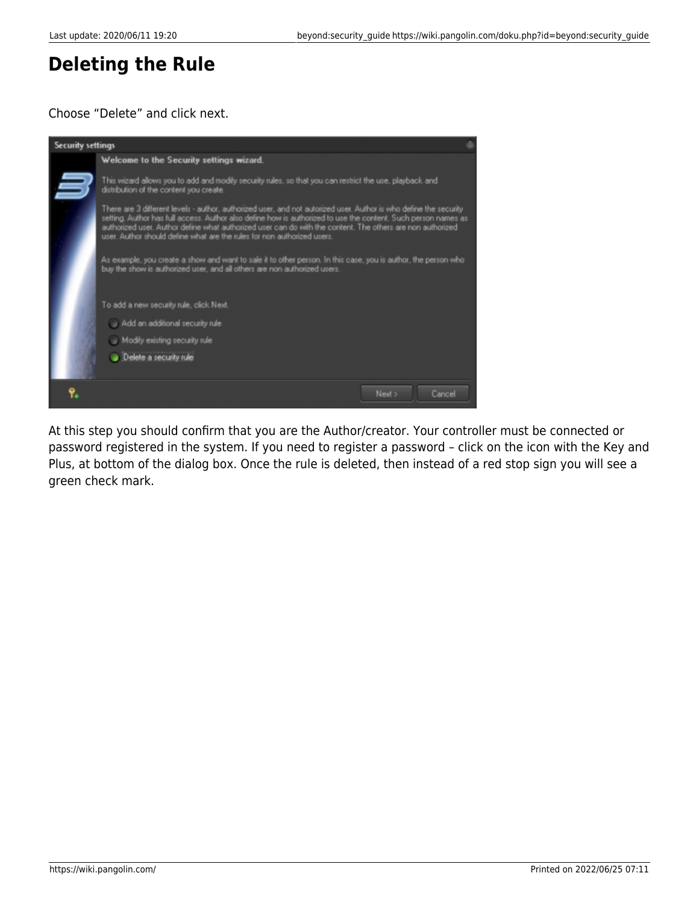### **Deleting the Rule**

### Choose "Delete" and click next.



At this step you should confirm that you are the Author/creator. Your controller must be connected or password registered in the system. If you need to register a password – click on the icon with the Key and Plus, at bottom of the dialog box. Once the rule is deleted, then instead of a red stop sign you will see a green check mark.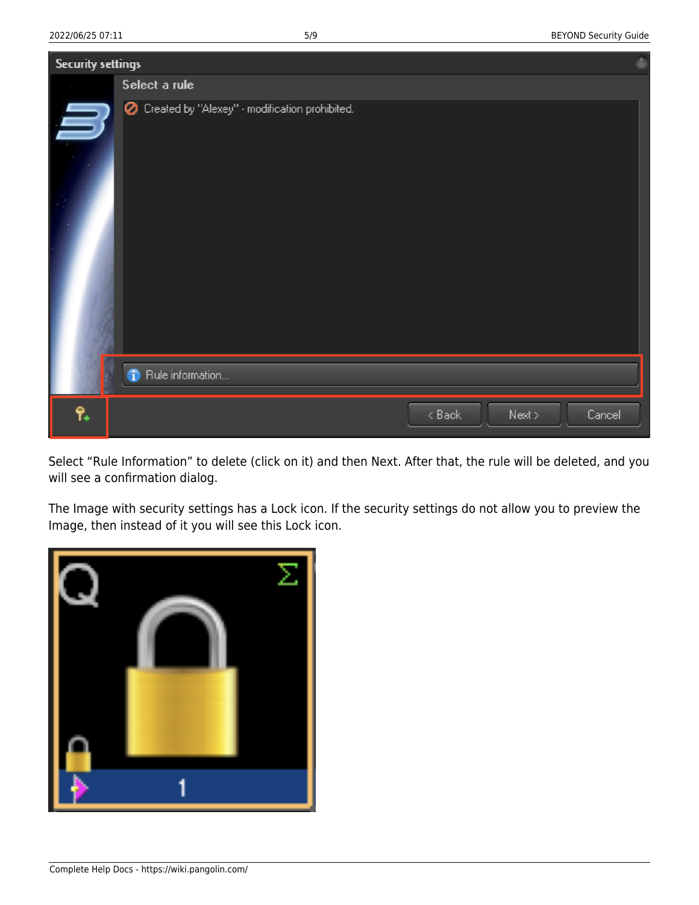| <b>Security settings</b> |                                                  |  |
|--------------------------|--------------------------------------------------|--|
|                          | Select a rule                                    |  |
| H                        | C Created by "Alexey" - modification prohibited. |  |
|                          |                                                  |  |
|                          | <sup>1</sup> Rule information                    |  |
| የ.                       | $8$ Back<br>Next ><br>Cancel                     |  |

Select "Rule Information" to delete (click on it) and then Next. After that, the rule will be deleted, and you will see a confirmation dialog.

The Image with security settings has a Lock icon. If the security settings do not allow you to preview the Image, then instead of it you will see this Lock icon.

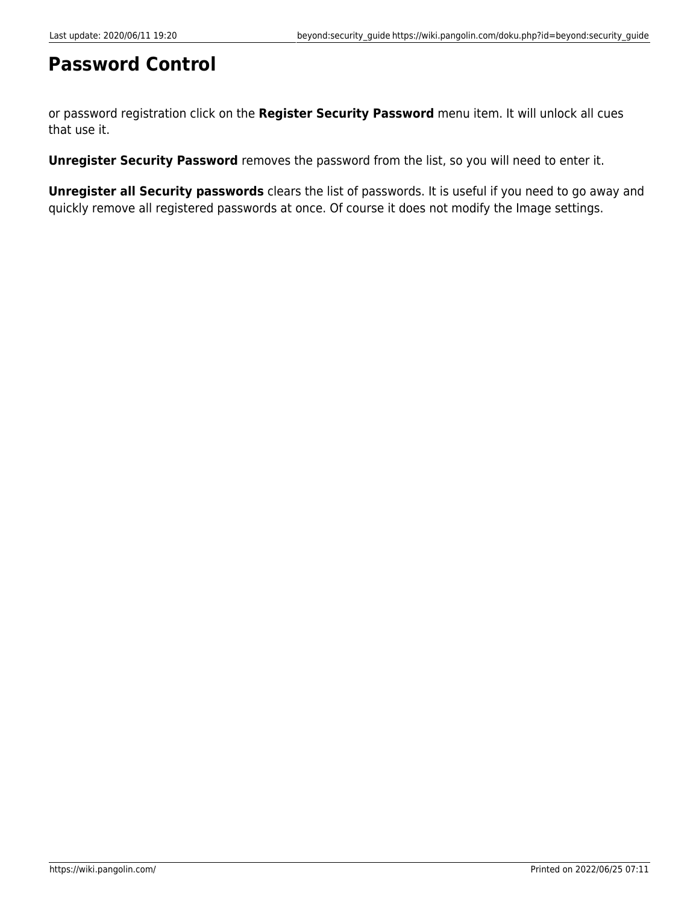## **Password Control**

or password registration click on the **Register Security Password** menu item. It will unlock all cues that use it.

**Unregister Security Password** removes the password from the list, so you will need to enter it.

**Unregister all Security passwords** clears the list of passwords. It is useful if you need to go away and quickly remove all registered passwords at once. Of course it does not modify the Image settings.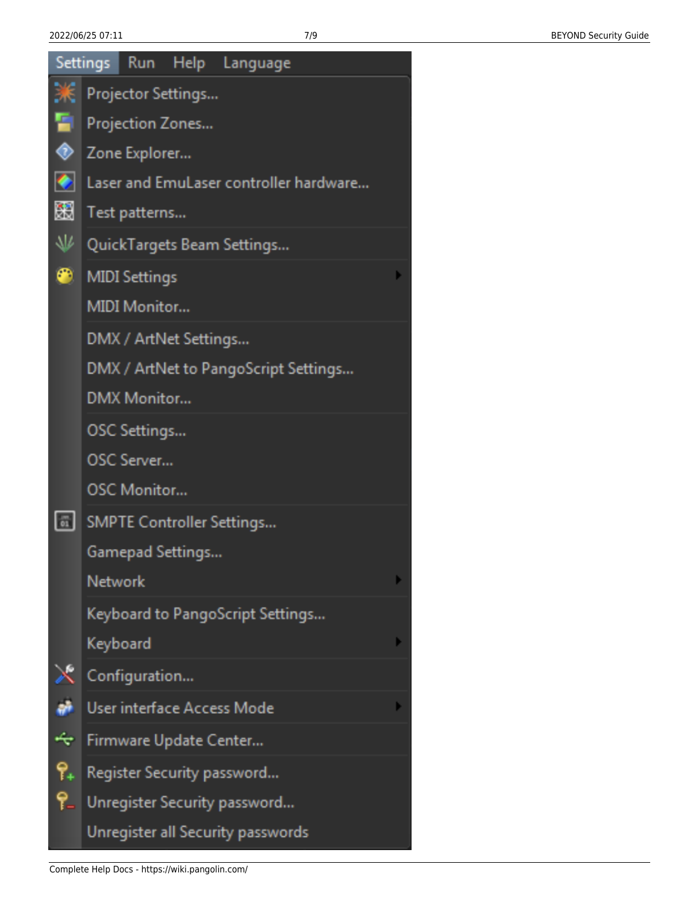|              |                                        |                        |  | Settings Run Help Language           |  |  |
|--------------|----------------------------------------|------------------------|--|--------------------------------------|--|--|
| Ж            |                                        | Projector Settings     |  |                                      |  |  |
| 91           | Projection Zones                       |                        |  |                                      |  |  |
| ◈            | Zone Explorer                          |                        |  |                                      |  |  |
| o            | Laser and EmuLaser controller hardware |                        |  |                                      |  |  |
| 嚻            | Test patterns                          |                        |  |                                      |  |  |
| 业            | QuickTargets Beam Settings             |                        |  |                                      |  |  |
| ⊕            |                                        | <b>MIDI Settings</b>   |  |                                      |  |  |
|              |                                        | <b>MIDI Monitor</b>    |  |                                      |  |  |
|              |                                        | DMX / ArtNet Settings  |  |                                      |  |  |
|              |                                        |                        |  | DMX / ArtNet to PangoScript Settings |  |  |
|              |                                        | <b>DMX Monitor</b>     |  |                                      |  |  |
|              |                                        | OSC Settings           |  |                                      |  |  |
|              |                                        | OSC Server             |  |                                      |  |  |
|              |                                        | <b>OSC Monitor</b>     |  |                                      |  |  |
| $\boxed{01}$ |                                        |                        |  | <b>SMPTE Controller Settings</b>     |  |  |
|              |                                        | Gamepad Settings       |  |                                      |  |  |
|              | <b>Network</b>                         |                        |  |                                      |  |  |
|              |                                        |                        |  | Keyboard to PangoScript Settings     |  |  |
|              | Keyboard                               |                        |  |                                      |  |  |
| Ж            |                                        | Configuration          |  |                                      |  |  |
| ã            |                                        |                        |  | User interface Access Mode           |  |  |
| ᡩ            |                                        | Firmware Update Center |  |                                      |  |  |
| የ.           |                                        |                        |  | Register Security password           |  |  |
| ۴.           |                                        |                        |  | Unregister Security password         |  |  |
|              |                                        |                        |  | Unregister all Security passwords    |  |  |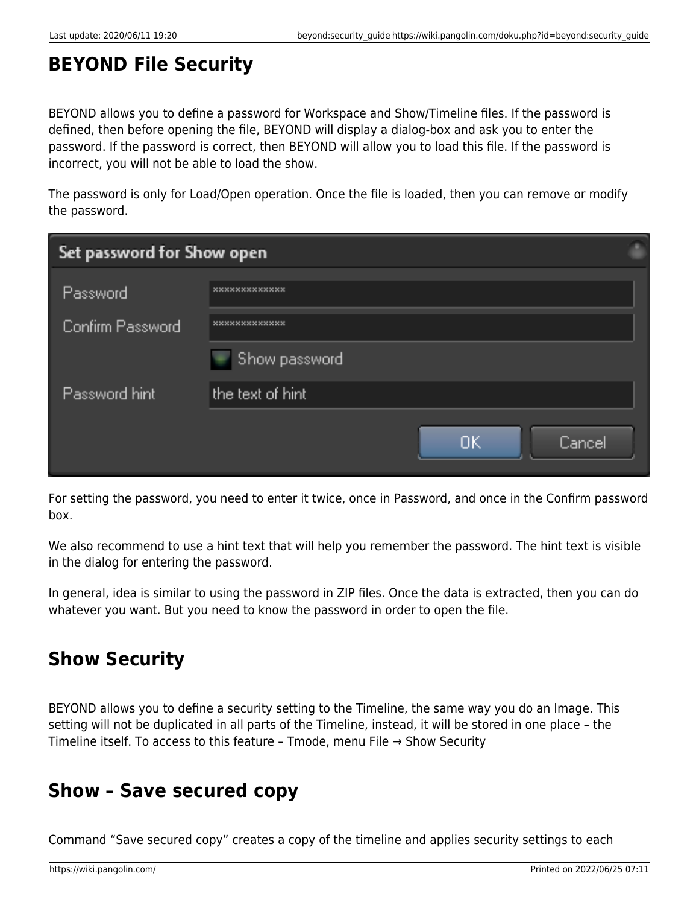# **BEYOND File Security**

BEYOND allows you to define a password for Workspace and Show/Timeline files. If the password is defined, then before opening the file, BEYOND will display a dialog-box and ask you to enter the password. If the password is correct, then BEYOND will allow you to load this file. If the password is incorrect, you will not be able to load the show.

The password is only for Load/Open operation. Once the file is loaded, then you can remove or modify the password.

| Set password for Show open |                            |  |  |
|----------------------------|----------------------------|--|--|
| Password                   |                            |  |  |
| Confirm Password           | 36363636363636363636363636 |  |  |
|                            | Show password              |  |  |
| Password hint              | the text of hint           |  |  |
|                            | ОK<br>Cancel               |  |  |

For setting the password, you need to enter it twice, once in Password, and once in the Confirm password box.

We also recommend to use a hint text that will help you remember the password. The hint text is visible in the dialog for entering the password.

In general, idea is similar to using the password in ZIP files. Once the data is extracted, then you can do whatever you want. But you need to know the password in order to open the file.

# **Show Security**

BEYOND allows you to define a security setting to the Timeline, the same way you do an Image. This setting will not be duplicated in all parts of the Timeline, instead, it will be stored in one place – the Timeline itself. To access to this feature – Tmode, menu File → Show Security

### **Show – Save secured copy**

Command "Save secured copy" creates a copy of the timeline and applies security settings to each